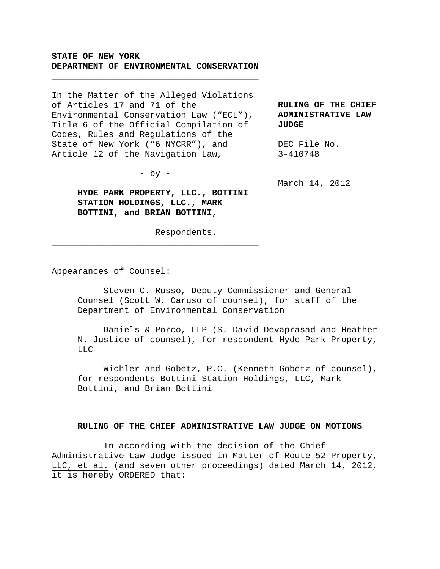## **STATE OF NEW YORK DEPARTMENT OF ENVIRONMENTAL CONSERVATION**

\_\_\_\_\_\_\_\_\_\_\_\_\_\_\_\_\_\_\_\_\_\_\_\_\_\_\_\_\_\_\_\_\_\_\_\_\_\_\_\_

In the Matter of the Alleged Violations of Articles 17 and 71 of the Environmental Conservation Law ("ECL"), Title 6 of the Official Compilation of Codes, Rules and Regulations of the State of New York ("6 NYCRR"), and Article 12 of the Navigation Law, **JUDGE** 

 $-$  by  $-$ 

\_\_\_\_\_\_\_\_\_\_\_\_\_\_\_\_\_\_\_\_\_\_\_\_\_\_\_\_\_\_\_\_\_\_\_\_\_\_\_\_

**HYDE PARK PROPERTY, LLC., BOTTINI STATION HOLDINGS, LLC., MARK BOTTINI, and BRIAN BOTTINI,**

Respondents.

**RULING OF THE CHIEF ADMINISTRATIVE LAW** 

DEC File No. 3-410748

March 14, 2012

Appearances of Counsel:

-- Steven C. Russo, Deputy Commissioner and General Counsel (Scott W. Caruso of counsel), for staff of the Department of Environmental Conservation

Daniels & Porco, LLP (S. David Devaprasad and Heather N. Justice of counsel), for respondent Hyde Park Property,  $L.L.$ 

-- Wichler and Gobetz, P.C. (Kenneth Gobetz of counsel), for respondents Bottini Station Holdings, LLC, Mark Bottini, and Brian Bottini

## **RULING OF THE CHIEF ADMINISTRATIVE LAW JUDGE ON MOTIONS**

 In according with the decision of the Chief Administrative Law Judge issued in Matter of Route 52 Property, LLC, et al. (and seven other proceedings) dated March 14, 2012, it is hereby ORDERED that: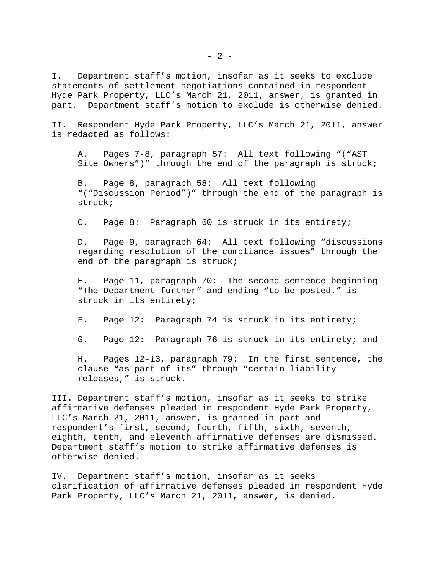I. Department staff's motion, insofar as it seeks to exclude statements of settlement negotiations contained in respondent Hyde Park Property, LLC's March 21, 2011, answer, is granted in part. Department staff's motion to exclude is otherwise denied.

II. Respondent Hyde Park Property, LLC's March 21, 2011, answer is redacted as follows:

A. Pages 7-8, paragraph 57: All text following "("AST Site Owners")" through the end of the paragraph is struck;

B. Page 8, paragraph 58: All text following "("Discussion Period")" through the end of the paragraph is struck;

C. Page 8: Paragraph 60 is struck in its entirety;

D. Page 9, paragraph 64: All text following "discussions regarding resolution of the compliance issues" through the end of the paragraph is struck;

E. Page 11, paragraph 70: The second sentence beginning "The Department further" and ending "to be posted." is struck in its entirety;

F. Page 12: Paragraph 74 is struck in its entirety;

G. Page 12: Paragraph 76 is struck in its entirety; and

H. Pages 12-13, paragraph 79: In the first sentence, the clause "as part of its" through "certain liability releases," is struck.

III. Department staff's motion, insofar as it seeks to strike affirmative defenses pleaded in respondent Hyde Park Property, LLC's March 21, 2011, answer, is granted in part and respondent's first, second, fourth, fifth, sixth, seventh, eighth, tenth, and eleventh affirmative defenses are dismissed. Department staff's motion to strike affirmative defenses is otherwise denied.

IV. Department staff's motion, insofar as it seeks clarification of affirmative defenses pleaded in respondent Hyde Park Property, LLC's March 21, 2011, answer, is denied.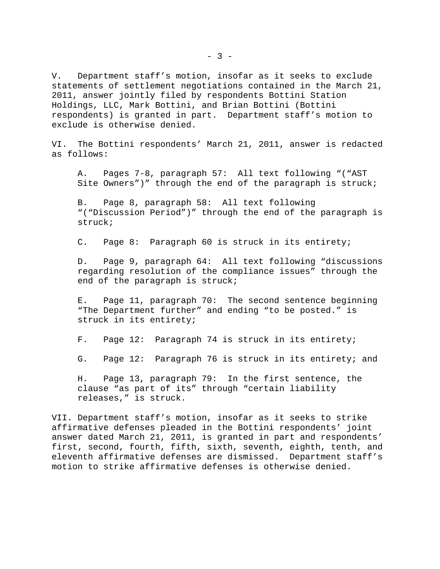V. Department staff's motion, insofar as it seeks to exclude statements of settlement negotiations contained in the March 21, 2011, answer jointly filed by respondents Bottini Station Holdings, LLC, Mark Bottini, and Brian Bottini (Bottini respondents) is granted in part. Department staff's motion to exclude is otherwise denied.

VI. The Bottini respondents' March 21, 2011, answer is redacted as follows:

A. Pages 7-8, paragraph 57: All text following "("AST Site Owners")" through the end of the paragraph is struck;

B. Page 8, paragraph 58: All text following "("Discussion Period")" through the end of the paragraph is struck;

C. Page 8: Paragraph 60 is struck in its entirety;

D. Page 9, paragraph 64: All text following "discussions regarding resolution of the compliance issues" through the end of the paragraph is struck;

E. Page 11, paragraph 70: The second sentence beginning "The Department further" and ending "to be posted." is struck in its entirety;

F. Page 12: Paragraph 74 is struck in its entirety;

G. Page 12: Paragraph 76 is struck in its entirety; and

H. Page 13, paragraph 79: In the first sentence, the clause "as part of its" through "certain liability releases," is struck.

VII. Department staff's motion, insofar as it seeks to strike affirmative defenses pleaded in the Bottini respondents' joint answer dated March 21, 2011, is granted in part and respondents' first, second, fourth, fifth, sixth, seventh, eighth, tenth, and eleventh affirmative defenses are dismissed. Department staff's motion to strike affirmative defenses is otherwise denied.